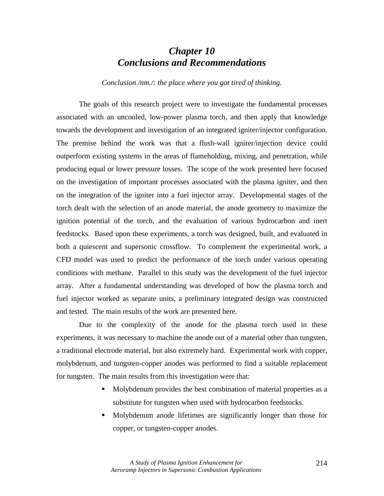## *Chapter 10 Conclusions and Recommendations*

*Conclusion /nm./: the place where you got tired of thinking.*

The goals of this research project were to investigate the fundamental processes associated with an uncooled, low-power plasma torch, and then apply that knowledge towards the development and investigation of an integrated igniter/injector configuration. The premise behind the work was that a flush-wall igniter/injection device could outperform existing systems in the areas of flameholding, mixing, and penetration, while producing equal or lower pressure losses. The scope of the work presented here focused on the investigation of important processes associated with the plasma igniter, and then on the integration of the igniter into a fuel injector array. Developmental stages of the torch dealt with the selection of an anode material, the anode geometry to maximize the ignition potential of the torch, and the evaluation of various hydrocarbon and inert feedstocks. Based upon these experiments, a torch was designed, built, and evaluated in both a quiescent and supersonic crossflow. To complement the experimental work, a CFD model was used to predict the performance of the torch under various operating conditions with methane. Parallel to this study was the development of the fuel injector array. After a fundamental understanding was developed of how the plasma torch and fuel injector worked as separate units, a preliminary integrated design was constructed and tested. The main results of the work are presented here.

Due to the complexity of the anode for the plasma torch used in these experiments, it was necessary to machine the anode out of a material other than tungsten, a traditional electrode material, but also extremely hard. Experimental work with copper, molybdenum, and tungsten-copper anodes was performed to find a suitable replacement for tungsten. The main results from this investigation were that:

- ! Molybdenum provides the best combination of material properties as a substitute for tungsten when used with hydrocarbon feedstocks.
- ! Molybdenum anode lifetimes are significantly longer than those for copper, or tungsten-copper anodes.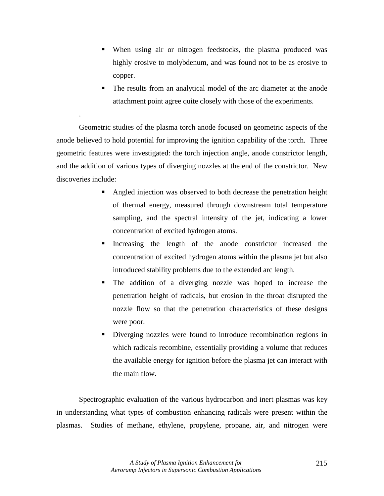- ! When using air or nitrogen feedstocks, the plasma produced was highly erosive to molybdenum, and was found not to be as erosive to copper.
- The results from an analytical model of the arc diameter at the anode attachment point agree quite closely with those of the experiments.

Geometric studies of the plasma torch anode focused on geometric aspects of the anode believed to hold potential for improving the ignition capability of the torch. Three geometric features were investigated: the torch injection angle, anode constrictor length, and the addition of various types of diverging nozzles at the end of the constrictor. New discoveries include:

.

- ! Angled injection was observed to both decrease the penetration height of thermal energy, measured through downstream total temperature sampling, and the spectral intensity of the jet, indicating a lower concentration of excited hydrogen atoms.
- Increasing the length of the anode constrictor increased the concentration of excited hydrogen atoms within the plasma jet but also introduced stability problems due to the extended arc length.
- The addition of a diverging nozzle was hoped to increase the penetration height of radicals, but erosion in the throat disrupted the nozzle flow so that the penetration characteristics of these designs were poor.
- ! Diverging nozzles were found to introduce recombination regions in which radicals recombine, essentially providing a volume that reduces the available energy for ignition before the plasma jet can interact with the main flow.

Spectrographic evaluation of the various hydrocarbon and inert plasmas was key in understanding what types of combustion enhancing radicals were present within the plasmas. Studies of methane, ethylene, propylene, propane, air, and nitrogen were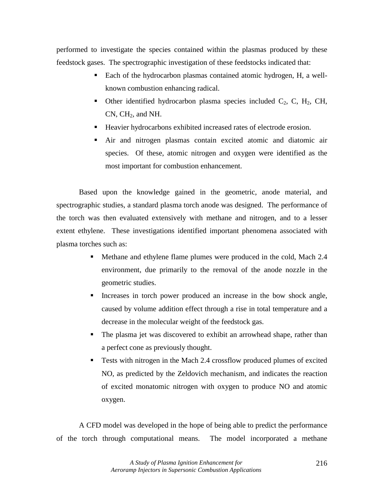performed to investigate the species contained within the plasmas produced by these feedstock gases. The spectrographic investigation of these feedstocks indicated that:

- ! Each of the hydrocarbon plasmas contained atomic hydrogen, H, a wellknown combustion enhancing radical.
- Other identified hydrocarbon plasma species included  $C_2$ , C, H<sub>2</sub>, CH,  $CN$ ,  $CH<sub>2</sub>$ , and NH.
- ! Heavier hydrocarbons exhibited increased rates of electrode erosion.
- ! Air and nitrogen plasmas contain excited atomic and diatomic air species. Of these, atomic nitrogen and oxygen were identified as the most important for combustion enhancement.

Based upon the knowledge gained in the geometric, anode material, and spectrographic studies, a standard plasma torch anode was designed. The performance of the torch was then evaluated extensively with methane and nitrogen, and to a lesser extent ethylene. These investigations identified important phenomena associated with plasma torches such as:

- ! Methane and ethylene flame plumes were produced in the cold, Mach 2.4 environment, due primarily to the removal of the anode nozzle in the geometric studies.
- ! Increases in torch power produced an increase in the bow shock angle, caused by volume addition effect through a rise in total temperature and a decrease in the molecular weight of the feedstock gas.
- ! The plasma jet was discovered to exhibit an arrowhead shape, rather than a perfect cone as previously thought.
- ! Tests with nitrogen in the Mach 2.4 crossflow produced plumes of excited NO, as predicted by the Zeldovich mechanism, and indicates the reaction of excited monatomic nitrogen with oxygen to produce NO and atomic oxygen.

A CFD model was developed in the hope of being able to predict the performance of the torch through computational means. The model incorporated a methane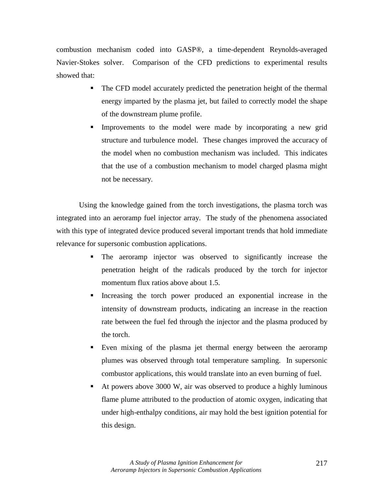combustion mechanism coded into GASP®, a time-dependent Reynolds-averaged Navier-Stokes solver. Comparison of the CFD predictions to experimental results showed that:

- ! The CFD model accurately predicted the penetration height of the thermal energy imparted by the plasma jet, but failed to correctly model the shape of the downstream plume profile.
- ! Improvements to the model were made by incorporating a new grid structure and turbulence model. These changes improved the accuracy of the model when no combustion mechanism was included. This indicates that the use of a combustion mechanism to model charged plasma might not be necessary.

Using the knowledge gained from the torch investigations, the plasma torch was integrated into an aeroramp fuel injector array. The study of the phenomena associated with this type of integrated device produced several important trends that hold immediate relevance for supersonic combustion applications.

- ! The aeroramp injector was observed to significantly increase the penetration height of the radicals produced by the torch for injector momentum flux ratios above about 1.5.
- ! Increasing the torch power produced an exponential increase in the intensity of downstream products, indicating an increase in the reaction rate between the fuel fed through the injector and the plasma produced by the torch.
- ! Even mixing of the plasma jet thermal energy between the aeroramp plumes was observed through total temperature sampling. In supersonic combustor applications, this would translate into an even burning of fuel.
- At powers above 3000 W, air was observed to produce a highly luminous flame plume attributed to the production of atomic oxygen, indicating that under high-enthalpy conditions, air may hold the best ignition potential for this design.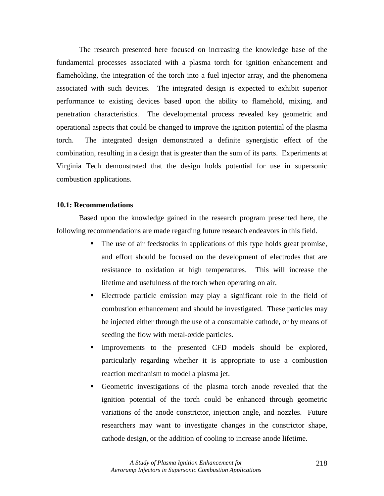The research presented here focused on increasing the knowledge base of the fundamental processes associated with a plasma torch for ignition enhancement and flameholding, the integration of the torch into a fuel injector array, and the phenomena associated with such devices. The integrated design is expected to exhibit superior performance to existing devices based upon the ability to flamehold, mixing, and penetration characteristics. The developmental process revealed key geometric and operational aspects that could be changed to improve the ignition potential of the plasma torch. The integrated design demonstrated a definite synergistic effect of the combination, resulting in a design that is greater than the sum of its parts. Experiments at Virginia Tech demonstrated that the design holds potential for use in supersonic combustion applications.

## **10.1: Recommendations**

 Based upon the knowledge gained in the research program presented here, the following recommendations are made regarding future research endeavors in this field.

- ! The use of air feedstocks in applications of this type holds great promise, and effort should be focused on the development of electrodes that are resistance to oxidation at high temperatures. This will increase the lifetime and usefulness of the torch when operating on air.
- ! Electrode particle emission may play a significant role in the field of combustion enhancement and should be investigated. These particles may be injected either through the use of a consumable cathode, or by means of seeding the flow with metal-oxide particles.
- Improvements to the presented CFD models should be explored, particularly regarding whether it is appropriate to use a combustion reaction mechanism to model a plasma jet.
- ! Geometric investigations of the plasma torch anode revealed that the ignition potential of the torch could be enhanced through geometric variations of the anode constrictor, injection angle, and nozzles. Future researchers may want to investigate changes in the constrictor shape, cathode design, or the addition of cooling to increase anode lifetime.